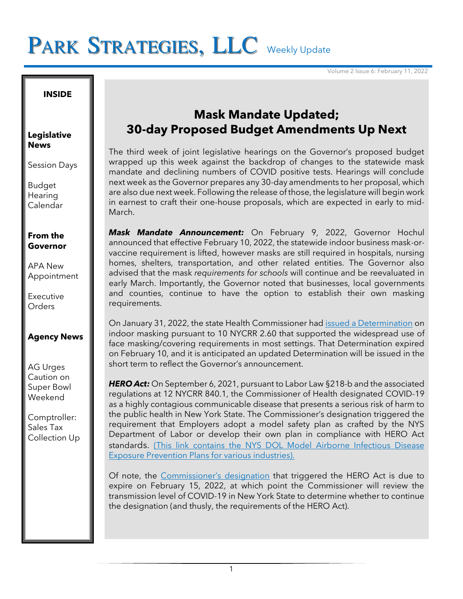# PARK STRATEGIES, LLC Weekly Update

#### **INSIDE**

#### **Legislative News**

Session Days

Budget **Hearing** Calendar

### **From the Governor**

APA New Appointment

**Executive** Orders

### **Agency News**

AG Urges Caution on Super Bowl Weekend

Comptroller: Sales Tax Collection Up

## **Mask Mandate Updated; 30-day Proposed Budget Amendments Up Next**

The third week of joint legislative hearings on the Governor's proposed budget wrapped up this week against the backdrop of changes to the statewide mask mandate and declining numbers of COVID positive tests. Hearings will conclude next week as the Governor prepares any 30-day amendments to her proposal, which are also due next week. Following the release of those, the legislature will begin work in earnest to craft their one-house proposals, which are expected in early to mid-March.

*Mask Mandate Announcement:* On February 9, 2022, Governor Hochul announced that effective February 10, 2022, the statewide indoor business mask-orvaccine requirement is lifted, however masks are still required in hospitals, nursing homes, shelters, transportation, and other related entities. The Governor also advised that the mask *requirements for schools* will continue and be reevaluated in early March. Importantly, the Governor noted that businesses, local governments and counties, continue to have the option to establish their own masking requirements.

On January 31, 2022, the state Health Commissioner had [issued a Determination](https://coronavirus.health.ny.gov/system/files/documents/2022/01/2.60-determination-01-31-2022_0.pdf) on indoor masking pursuant to 10 NYCRR 2.60 that supported the widespread use of face masking/covering requirements in most settings. That Determination expired on February 10, and it is anticipated an updated Determination will be issued in the short term to reflect the Governor's announcement.

*HERO Act:* On September 6, 2021, pursuant to Labor Law §218-b and the associated regulations at 12 NYCRR 840.1, the Commissioner of Health designated COVID-19 as a highly contagious communicable disease that presents a serious risk of harm to the public health in New York State. The Commissioner's designation triggered the requirement that Employers adopt a model safety plan as crafted by the NYS Department of Labor or develop their own plan in compliance with HERO Act standards. [\(This link contains the NYS DOL Model Airborne Infectious Disease](https://dol.ny.gov/ny-hero-act)  [Exposure Prevention Plans for various industries\).](https://dol.ny.gov/ny-hero-act)

Of note, the [Commissioner's designation](https://www.health.ny.gov/press/releases/2022/docs/hero_act_designation_extension_4.pdf) that triggered the HERO Act is due to expire on February 15, 2022, at which point the Commissioner will review the transmission level of COVID-19 in New York State to determine whether to continue the designation (and thusly, the requirements of the HERO Act).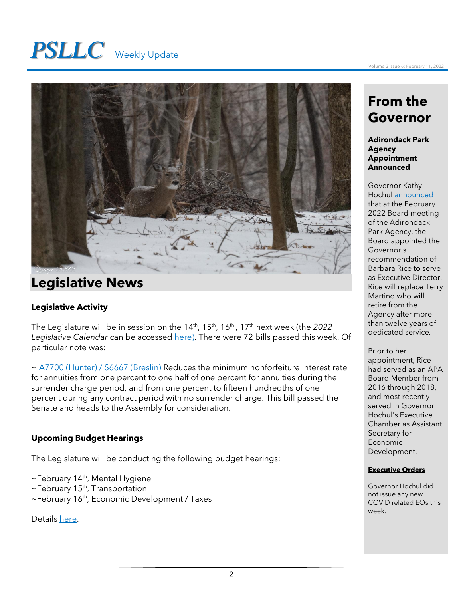# *PSLLC* Weekly Update



# **Legislative News**

### **Legislative Activity**

The Legislature will be in session on the 14th , 15th , 16th , 17th next week (the *2022 Legislative Calendar* can be accessed [here\)](https://www.nyassembly.gov/leg/docs/sessioncalendar_2022.pdf). There were 72 bills passed this week. Of particular note was:

~ [A7700 \(Hunter\) / S6667 \(Breslin\)](https://www.nysenate.gov/legislation/bills/2021/S6667) Reduces the minimum nonforfeiture interest rate for annuities from one percent to one half of one percent for annuities during the surrender charge period, and from one percent to fifteen hundredths of one percent during any contract period with no surrender charge. This bill passed the Senate and heads to the Assembly for consideration.

### **Upcoming Budget Hearings**

The Legislature will be conducting the following budget hearings:

 $\sim$ February 14<sup>th</sup>, Mental Hygiene ~February 15<sup>th</sup>, Transportation

~February 16<sup>th</sup>, Economic Development / Taxes

Details [here.](https://assembly.state.ny.us/Press/?sec=story&story=100543)

# **From the Governor**

**Adirondack Park Agency Appointment Announced**

Governor Kathy Hochul [announced](https://www.governor.ny.gov/news/governor-hochul-announces-adirondack-park-agency-board-appointment-barbara-rice-executive) that at the February 2022 Board meeting of the Adirondack Park Agency, the Board appointed the Governor's recommendation of Barbara Rice to serve as Executive Director. Rice will replace Terry Martino who will retire from the Agency after more than twelve years of dedicated service*.*

Prior to her appointment, Rice had served as an APA Board Member from 2016 through 2018, and most recently served in Governor Hochul's Executive Chamber as Assistant Secretary for Economic Development.

#### **Executive Orders**

Governor Hochul did not issue any new COVID related EOs this week.